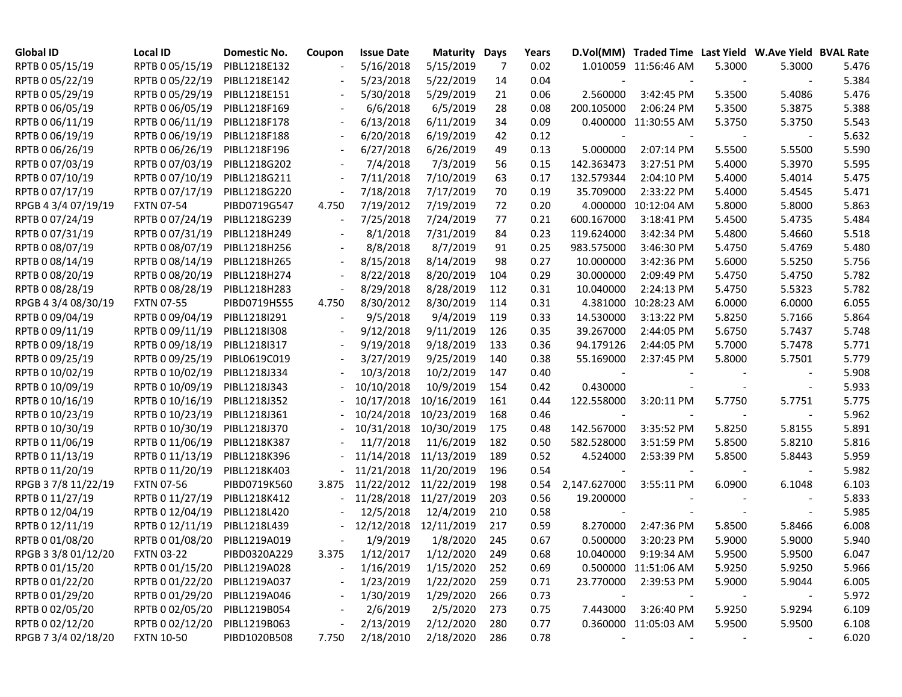| <b>Global ID</b>    | <b>Local ID</b>   | Domestic No. | Coupon | <b>Issue Date</b> | <b>Maturity Days</b>  |     | Years |                          | D.Vol(MM) Traded Time Last Yield W.Ave Yield BVAL Rate |        |        |       |
|---------------------|-------------------|--------------|--------|-------------------|-----------------------|-----|-------|--------------------------|--------------------------------------------------------|--------|--------|-------|
| RPTB 0 05/15/19     | RPTB 0 05/15/19   | PIBL1218E132 |        | 5/16/2018         | 5/15/2019             | -7  | 0.02  |                          | 1.010059 11:56:46 AM                                   | 5.3000 | 5.3000 | 5.476 |
| RPTB 0 05/22/19     | RPTB 0 05/22/19   | PIBL1218E142 |        | 5/23/2018         | 5/22/2019             | 14  | 0.04  |                          |                                                        |        |        | 5.384 |
| RPTB 0 05/29/19     | RPTB 0 05/29/19   | PIBL1218E151 |        | 5/30/2018         | 5/29/2019             | 21  | 0.06  | 2.560000                 | 3:42:45 PM                                             | 5.3500 | 5.4086 | 5.476 |
| RPTB 0 06/05/19     | RPTB 0 06/05/19   | PIBL1218F169 |        | 6/6/2018          | 6/5/2019              | 28  | 0.08  | 200.105000               | 2:06:24 PM                                             | 5.3500 | 5.3875 | 5.388 |
| RPTB 0 06/11/19     | RPTB 0 06/11/19   | PIBL1218F178 |        | 6/13/2018         | 6/11/2019             | 34  | 0.09  |                          | 0.400000 11:30:55 AM                                   | 5.3750 | 5.3750 | 5.543 |
| RPTB 0 06/19/19     | RPTB 0 06/19/19   | PIBL1218F188 |        | 6/20/2018         | 6/19/2019             | 42  | 0.12  |                          |                                                        |        |        | 5.632 |
| RPTB 0 06/26/19     | RPTB 0 06/26/19   | PIBL1218F196 |        | 6/27/2018         | 6/26/2019             | 49  | 0.13  | 5.000000                 | 2:07:14 PM                                             | 5.5500 | 5.5500 | 5.590 |
| RPTB 0 07/03/19     | RPTB 0 07/03/19   | PIBL1218G202 |        | 7/4/2018          | 7/3/2019              | 56  | 0.15  | 142.363473               | 3:27:51 PM                                             | 5.4000 | 5.3970 | 5.595 |
| RPTB 0 07/10/19     | RPTB 0 07/10/19   | PIBL1218G211 |        | 7/11/2018         | 7/10/2019             | 63  | 0.17  | 132.579344               | 2:04:10 PM                                             | 5.4000 | 5.4014 | 5.475 |
| RPTB 0 07/17/19     | RPTB 0 07/17/19   | PIBL1218G220 |        | 7/18/2018         | 7/17/2019             | 70  | 0.19  | 35.709000                | 2:33:22 PM                                             | 5.4000 | 5.4545 | 5.471 |
| RPGB 4 3/4 07/19/19 | <b>FXTN 07-54</b> | PIBD0719G547 | 4.750  | 7/19/2012         | 7/19/2019             | 72  | 0.20  |                          | 4.000000 10:12:04 AM                                   | 5.8000 | 5.8000 | 5.863 |
| RPTB 0 07/24/19     | RPTB 0 07/24/19   | PIBL1218G239 |        | 7/25/2018         | 7/24/2019             | 77  | 0.21  | 600.167000               | 3:18:41 PM                                             | 5.4500 | 5.4735 | 5.484 |
| RPTB 0 07/31/19     | RPTB 0 07/31/19   | PIBL1218H249 |        | 8/1/2018          | 7/31/2019             | 84  | 0.23  | 119.624000               | 3:42:34 PM                                             | 5.4800 | 5.4660 | 5.518 |
| RPTB 0 08/07/19     | RPTB 0 08/07/19   | PIBL1218H256 |        | 8/8/2018          | 8/7/2019              | 91  | 0.25  | 983.575000               | 3:46:30 PM                                             | 5.4750 | 5.4769 | 5.480 |
| RPTB 0 08/14/19     | RPTB 0 08/14/19   | PIBL1218H265 |        | 8/15/2018         | 8/14/2019             | 98  | 0.27  | 10.000000                | 3:42:36 PM                                             | 5.6000 | 5.5250 | 5.756 |
| RPTB 0 08/20/19     | RPTB 0 08/20/19   | PIBL1218H274 |        | 8/22/2018         | 8/20/2019             | 104 | 0.29  | 30.000000                | 2:09:49 PM                                             | 5.4750 | 5.4750 | 5.782 |
| RPTB 0 08/28/19     | RPTB 0 08/28/19   | PIBL1218H283 |        | 8/29/2018         | 8/28/2019             | 112 | 0.31  | 10.040000                | 2:24:13 PM                                             | 5.4750 | 5.5323 | 5.782 |
| RPGB 4 3/4 08/30/19 | <b>FXTN 07-55</b> | PIBD0719H555 | 4.750  | 8/30/2012         | 8/30/2019             | 114 | 0.31  |                          | 4.381000 10:28:23 AM                                   | 6.0000 | 6.0000 | 6.055 |
| RPTB 0 09/04/19     | RPTB 0 09/04/19   | PIBL1218I291 |        | 9/5/2018          | 9/4/2019              | 119 | 0.33  | 14.530000                | 3:13:22 PM                                             | 5.8250 | 5.7166 | 5.864 |
| RPTB 0 09/11/19     | RPTB 0 09/11/19   | PIBL1218I308 |        | 9/12/2018         | 9/11/2019             | 126 | 0.35  | 39.267000                | 2:44:05 PM                                             | 5.6750 | 5.7437 | 5.748 |
| RPTB 0 09/18/19     | RPTB 0 09/18/19   | PIBL1218I317 |        | 9/19/2018         | 9/18/2019             | 133 | 0.36  | 94.179126                | 2:44:05 PM                                             | 5.7000 | 5.7478 | 5.771 |
| RPTB 0 09/25/19     | RPTB 0 09/25/19   | PIBL0619C019 |        | 3/27/2019         | 9/25/2019             | 140 | 0.38  | 55.169000                | 2:37:45 PM                                             | 5.8000 | 5.7501 | 5.779 |
| RPTB 0 10/02/19     | RPTB 0 10/02/19   | PIBL1218J334 |        | 10/3/2018         | 10/2/2019             | 147 | 0.40  | $\overline{\phantom{a}}$ |                                                        |        |        | 5.908 |
| RPTB 0 10/09/19     | RPTB 0 10/09/19   | PIBL1218J343 |        | 10/10/2018        | 10/9/2019             | 154 | 0.42  | 0.430000                 |                                                        |        |        | 5.933 |
| RPTB 0 10/16/19     | RPTB 0 10/16/19   | PIBL1218J352 |        | 10/17/2018        | 10/16/2019            | 161 | 0.44  | 122.558000               | 3:20:11 PM                                             | 5.7750 | 5.7751 | 5.775 |
| RPTB 0 10/23/19     | RPTB 0 10/23/19   | PIBL1218J361 |        | 10/24/2018        | 10/23/2019            | 168 | 0.46  |                          |                                                        |        |        | 5.962 |
| RPTB 0 10/30/19     | RPTB 0 10/30/19   | PIBL1218J370 |        | 10/31/2018        | 10/30/2019            | 175 | 0.48  | 142.567000               | 3:35:52 PM                                             | 5.8250 | 5.8155 | 5.891 |
| RPTB 0 11/06/19     | RPTB 0 11/06/19   | PIBL1218K387 |        | 11/7/2018         | 11/6/2019             | 182 | 0.50  | 582.528000               | 3:51:59 PM                                             | 5.8500 | 5.8210 | 5.816 |
| RPTB 0 11/13/19     | RPTB 0 11/13/19   | PIBL1218K396 |        | 11/14/2018        | 11/13/2019            | 189 | 0.52  | 4.524000                 | 2:53:39 PM                                             | 5.8500 | 5.8443 | 5.959 |
| RPTB 0 11/20/19     | RPTB 0 11/20/19   | PIBL1218K403 |        | 11/21/2018        | 11/20/2019            | 196 | 0.54  |                          |                                                        |        |        | 5.982 |
| RPGB 3 7/8 11/22/19 | <b>FXTN 07-56</b> | PIBD0719K560 | 3.875  |                   | 11/22/2012 11/22/2019 | 198 | 0.54  | 2,147.627000             | 3:55:11 PM                                             | 6.0900 | 6.1048 | 6.103 |
| RPTB 0 11/27/19     | RPTB 0 11/27/19   | PIBL1218K412 |        |                   | 11/28/2018 11/27/2019 | 203 | 0.56  | 19.200000                |                                                        |        |        | 5.833 |
| RPTB 0 12/04/19     | RPTB 0 12/04/19   | PIBL1218L420 |        | 12/5/2018         | 12/4/2019             | 210 | 0.58  |                          |                                                        |        |        | 5.985 |
| RPTB 0 12/11/19     | RPTB 0 12/11/19   | PIBL1218L439 |        | 12/12/2018        | 12/11/2019            | 217 | 0.59  | 8.270000                 | 2:47:36 PM                                             | 5.8500 | 5.8466 | 6.008 |
| RPTB 0 01/08/20     | RPTB 0 01/08/20   | PIBL1219A019 |        | 1/9/2019          | 1/8/2020              | 245 | 0.67  | 0.500000                 | 3:20:23 PM                                             | 5.9000 | 5.9000 | 5.940 |
| RPGB 3 3/8 01/12/20 | <b>FXTN 03-22</b> | PIBD0320A229 |        | 3.375 1/12/2017   | 1/12/2020             | 249 | 0.68  | 10.040000                | 9:19:34 AM                                             | 5.9500 | 5.9500 | 6.047 |
| RPTB 0 01/15/20     | RPTB 0 01/15/20   | PIBL1219A028 |        | 1/16/2019         | 1/15/2020             | 252 | 0.69  |                          | 0.500000 11:51:06 AM                                   | 5.9250 | 5.9250 | 5.966 |
| RPTB 0 01/22/20     | RPTB 0 01/22/20   | PIBL1219A037 |        | 1/23/2019         | 1/22/2020             | 259 | 0.71  | 23.770000                | 2:39:53 PM                                             | 5.9000 | 5.9044 | 6.005 |
| RPTB 0 01/29/20     | RPTB 0 01/29/20   | PIBL1219A046 |        | 1/30/2019         | 1/29/2020             | 266 | 0.73  | $\overline{\phantom{a}}$ |                                                        |        |        | 5.972 |
| RPTB 0 02/05/20     | RPTB 0 02/05/20   | PIBL1219B054 |        | 2/6/2019          | 2/5/2020              | 273 | 0.75  | 7.443000                 | 3:26:40 PM                                             | 5.9250 | 5.9294 | 6.109 |
| RPTB 0 02/12/20     | RPTB 0 02/12/20   | PIBL1219B063 |        | 2/13/2019         | 2/12/2020             | 280 | 0.77  |                          | 0.360000 11:05:03 AM                                   | 5.9500 | 5.9500 | 6.108 |
| RPGB 7 3/4 02/18/20 | <b>FXTN 10-50</b> | PIBD1020B508 | 7.750  | 2/18/2010         | 2/18/2020             | 286 | 0.78  |                          |                                                        |        |        | 6.020 |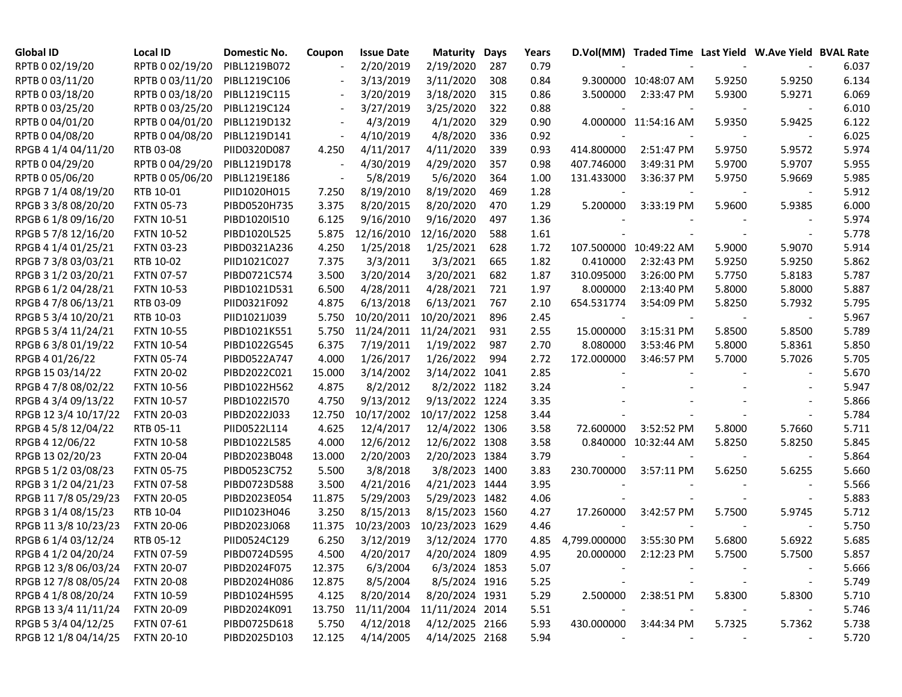| <b>Global ID</b>     | <b>Local ID</b>   | Domestic No. | Coupon                   | <b>Issue Date</b> | <b>Maturity</b> | Days | Years |                          | D.Vol(MM) Traded Time Last Yield W.Ave Yield BVAL Rate |        |        |       |
|----------------------|-------------------|--------------|--------------------------|-------------------|-----------------|------|-------|--------------------------|--------------------------------------------------------|--------|--------|-------|
| RPTB 0 02/19/20      | RPTB 0 02/19/20   | PIBL1219B072 |                          | 2/20/2019         | 2/19/2020       | 287  | 0.79  |                          |                                                        |        |        | 6.037 |
| RPTB 0 03/11/20      | RPTB 0 03/11/20   | PIBL1219C106 |                          | 3/13/2019         | 3/11/2020       | 308  | 0.84  |                          | 9.300000 10:48:07 AM                                   | 5.9250 | 5.9250 | 6.134 |
| RPTB 0 03/18/20      | RPTB 0 03/18/20   | PIBL1219C115 |                          | 3/20/2019         | 3/18/2020       | 315  | 0.86  | 3.500000                 | 2:33:47 PM                                             | 5.9300 | 5.9271 | 6.069 |
| RPTB 0 03/25/20      | RPTB 0 03/25/20   | PIBL1219C124 | $\overline{\phantom{a}}$ | 3/27/2019         | 3/25/2020       | 322  | 0.88  |                          |                                                        |        |        | 6.010 |
| RPTB 0 04/01/20      | RPTB 0 04/01/20   | PIBL1219D132 | $\overline{\phantom{a}}$ | 4/3/2019          | 4/1/2020        | 329  | 0.90  |                          | 4.000000 11:54:16 AM                                   | 5.9350 | 5.9425 | 6.122 |
| RPTB 0 04/08/20      | RPTB 0 04/08/20   | PIBL1219D141 | $\overline{\phantom{a}}$ | 4/10/2019         | 4/8/2020        | 336  | 0.92  |                          |                                                        |        |        | 6.025 |
| RPGB 4 1/4 04/11/20  | RTB 03-08         | PIID0320D087 | 4.250                    | 4/11/2017         | 4/11/2020       | 339  | 0.93  | 414.800000               | 2:51:47 PM                                             | 5.9750 | 5.9572 | 5.974 |
| RPTB 0 04/29/20      | RPTB 0 04/29/20   | PIBL1219D178 |                          | 4/30/2019         | 4/29/2020       | 357  | 0.98  | 407.746000               | 3:49:31 PM                                             | 5.9700 | 5.9707 | 5.955 |
| RPTB 0 05/06/20      | RPTB 0 05/06/20   | PIBL1219E186 |                          | 5/8/2019          | 5/6/2020        | 364  | 1.00  | 131.433000               | 3:36:37 PM                                             | 5.9750 | 5.9669 | 5.985 |
| RPGB 7 1/4 08/19/20  | RTB 10-01         | PIID1020H015 | 7.250                    | 8/19/2010         | 8/19/2020       | 469  | 1.28  |                          |                                                        |        |        | 5.912 |
| RPGB 3 3/8 08/20/20  | <b>FXTN 05-73</b> | PIBD0520H735 | 3.375                    | 8/20/2015         | 8/20/2020       | 470  | 1.29  | 5.200000                 | 3:33:19 PM                                             | 5.9600 | 5.9385 | 6.000 |
| RPGB 6 1/8 09/16/20  | <b>FXTN 10-51</b> | PIBD1020I510 | 6.125                    | 9/16/2010         | 9/16/2020       | 497  | 1.36  |                          |                                                        |        |        | 5.974 |
| RPGB 5 7/8 12/16/20  | <b>FXTN 10-52</b> | PIBD1020L525 | 5.875                    | 12/16/2010        | 12/16/2020      | 588  | 1.61  |                          |                                                        |        |        | 5.778 |
| RPGB 4 1/4 01/25/21  | <b>FXTN 03-23</b> | PIBD0321A236 | 4.250                    | 1/25/2018         | 1/25/2021       | 628  | 1.72  |                          | 107.500000 10:49:22 AM                                 | 5.9000 | 5.9070 | 5.914 |
| RPGB 7 3/8 03/03/21  | RTB 10-02         | PIID1021C027 | 7.375                    | 3/3/2011          | 3/3/2021        | 665  | 1.82  | 0.410000                 | 2:32:43 PM                                             | 5.9250 | 5.9250 | 5.862 |
| RPGB 3 1/2 03/20/21  | <b>FXTN 07-57</b> | PIBD0721C574 | 3.500                    | 3/20/2014         | 3/20/2021       | 682  | 1.87  | 310.095000               | 3:26:00 PM                                             | 5.7750 | 5.8183 | 5.787 |
| RPGB 6 1/2 04/28/21  | <b>FXTN 10-53</b> | PIBD1021D531 | 6.500                    | 4/28/2011         | 4/28/2021       | 721  | 1.97  | 8.000000                 | 2:13:40 PM                                             | 5.8000 | 5.8000 | 5.887 |
| RPGB 4 7/8 06/13/21  | RTB 03-09         | PIID0321F092 | 4.875                    | 6/13/2018         | 6/13/2021       | 767  | 2.10  | 654.531774               | 3:54:09 PM                                             | 5.8250 | 5.7932 | 5.795 |
| RPGB 5 3/4 10/20/21  | RTB 10-03         | PIID1021J039 | 5.750                    | 10/20/2011        | 10/20/2021      | 896  | 2.45  | $\overline{\phantom{a}}$ | $\overline{\phantom{a}}$                               |        |        | 5.967 |
| RPGB 5 3/4 11/24/21  | <b>FXTN 10-55</b> | PIBD1021K551 | 5.750                    | 11/24/2011        | 11/24/2021      | 931  | 2.55  | 15.000000                | 3:15:31 PM                                             | 5.8500 | 5.8500 | 5.789 |
| RPGB 63/8 01/19/22   | <b>FXTN 10-54</b> | PIBD1022G545 | 6.375                    | 7/19/2011         | 1/19/2022       | 987  | 2.70  | 8.080000                 | 3:53:46 PM                                             | 5.8000 | 5.8361 | 5.850 |
| RPGB 4 01/26/22      | <b>FXTN 05-74</b> | PIBD0522A747 | 4.000                    | 1/26/2017         | 1/26/2022       | 994  | 2.72  | 172.000000               | 3:46:57 PM                                             | 5.7000 | 5.7026 | 5.705 |
| RPGB 15 03/14/22     | <b>FXTN 20-02</b> | PIBD2022C021 | 15.000                   | 3/14/2002         | 3/14/2022 1041  |      | 2.85  |                          |                                                        |        |        | 5.670 |
| RPGB 4 7/8 08/02/22  | <b>FXTN 10-56</b> | PIBD1022H562 | 4.875                    | 8/2/2012          | 8/2/2022 1182   |      | 3.24  |                          |                                                        |        |        | 5.947 |
| RPGB 4 3/4 09/13/22  | <b>FXTN 10-57</b> | PIBD1022I570 | 4.750                    | 9/13/2012         | 9/13/2022 1224  |      | 3.35  |                          |                                                        |        |        | 5.866 |
| RPGB 12 3/4 10/17/22 | <b>FXTN 20-03</b> | PIBD2022J033 | 12.750                   | 10/17/2002        | 10/17/2022 1258 |      | 3.44  |                          |                                                        |        |        | 5.784 |
| RPGB 4 5/8 12/04/22  | RTB 05-11         | PIID0522L114 | 4.625                    | 12/4/2017         | 12/4/2022 1306  |      | 3.58  | 72.600000                | 3:52:52 PM                                             | 5.8000 | 5.7660 | 5.711 |
| RPGB 4 12/06/22      | <b>FXTN 10-58</b> | PIBD1022L585 | 4.000                    | 12/6/2012         | 12/6/2022 1308  |      | 3.58  |                          | 0.840000 10:32:44 AM                                   | 5.8250 | 5.8250 | 5.845 |
| RPGB 13 02/20/23     | <b>FXTN 20-04</b> | PIBD2023B048 | 13.000                   | 2/20/2003         | 2/20/2023 1384  |      | 3.79  |                          |                                                        |        |        | 5.864 |
| RPGB 5 1/2 03/08/23  | <b>FXTN 05-75</b> | PIBD0523C752 | 5.500                    | 3/8/2018          | 3/8/2023 1400   |      | 3.83  | 230.700000               | 3:57:11 PM                                             | 5.6250 | 5.6255 | 5.660 |
| RPGB 3 1/2 04/21/23  | <b>FXTN 07-58</b> | PIBD0723D588 | 3.500                    | 4/21/2016         | 4/21/2023 1444  |      | 3.95  |                          |                                                        |        |        | 5.566 |
| RPGB 11 7/8 05/29/23 | <b>FXTN 20-05</b> | PIBD2023E054 | 11.875                   | 5/29/2003         | 5/29/2023 1482  |      | 4.06  |                          |                                                        |        |        | 5.883 |
| RPGB 3 1/4 08/15/23  | RTB 10-04         | PIID1023H046 | 3.250                    | 8/15/2013         | 8/15/2023 1560  |      | 4.27  | 17.260000                | 3:42:57 PM                                             | 5.7500 | 5.9745 | 5.712 |
| RPGB 11 3/8 10/23/23 | <b>FXTN 20-06</b> | PIBD2023J068 | 11.375                   | 10/23/2003        | 10/23/2023 1629 |      | 4.46  |                          |                                                        |        |        | 5.750 |
| RPGB 6 1/4 03/12/24  | RTB 05-12         | PIID0524C129 | 6.250                    | 3/12/2019         | 3/12/2024 1770  |      | 4.85  | 4,799.000000             | 3:55:30 PM                                             | 5.6800 | 5.6922 | 5.685 |
| RPGB 4 1/2 04/20/24  | <b>FXTN 07-59</b> | PIBD0724D595 | 4.500                    | 4/20/2017         | 4/20/2024 1809  |      | 4.95  | 20.000000                | 2:12:23 PM                                             | 5.7500 | 5.7500 | 5.857 |
| RPGB 12 3/8 06/03/24 | <b>FXTN 20-07</b> | PIBD2024F075 | 12.375                   | 6/3/2004          | 6/3/2024 1853   |      | 5.07  |                          |                                                        |        |        | 5.666 |
| RPGB 12 7/8 08/05/24 | <b>FXTN 20-08</b> | PIBD2024H086 | 12.875                   | 8/5/2004          | 8/5/2024 1916   |      | 5.25  |                          |                                                        |        |        | 5.749 |
| RPGB 4 1/8 08/20/24  | <b>FXTN 10-59</b> | PIBD1024H595 | 4.125                    | 8/20/2014         | 8/20/2024 1931  |      | 5.29  | 2.500000                 | 2:38:51 PM                                             | 5.8300 | 5.8300 | 5.710 |
| RPGB 13 3/4 11/11/24 | <b>FXTN 20-09</b> | PIBD2024K091 | 13.750                   | 11/11/2004        | 11/11/2024 2014 |      | 5.51  |                          |                                                        |        |        | 5.746 |
| RPGB 5 3/4 04/12/25  | <b>FXTN 07-61</b> | PIBD0725D618 | 5.750                    | 4/12/2018         | 4/12/2025 2166  |      | 5.93  | 430.000000               | 3:44:34 PM                                             | 5.7325 | 5.7362 | 5.738 |
| RPGB 12 1/8 04/14/25 | <b>FXTN 20-10</b> | PIBD2025D103 | 12.125                   | 4/14/2005         | 4/14/2025 2168  |      | 5.94  |                          |                                                        |        |        | 5.720 |